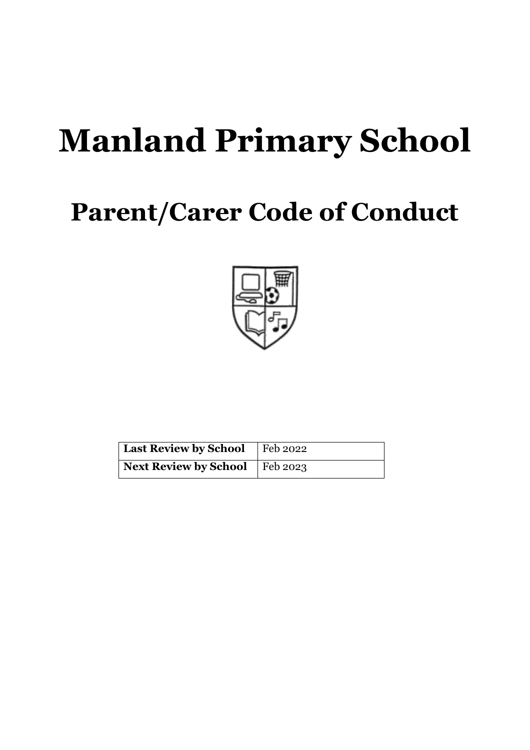# **Manland Primary School**

## **Parent/Carer Code of Conduct**



| Last Review by School   Feb 2022 |  |
|----------------------------------|--|
| Next Review by School Feb 2023   |  |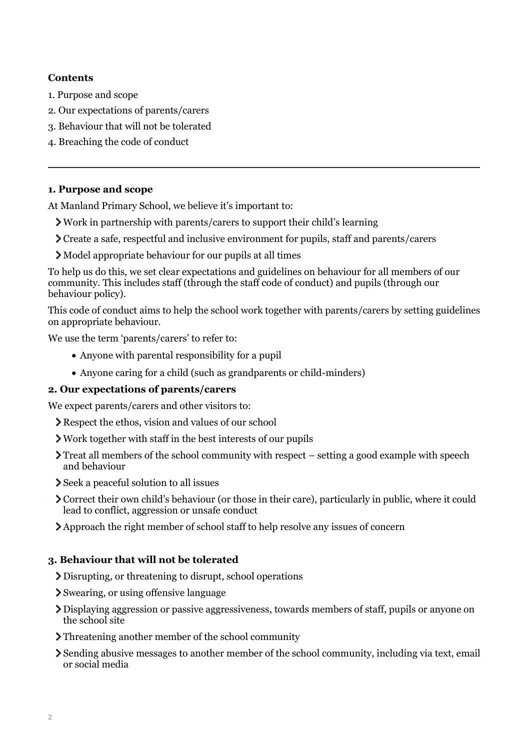#### **Contents**

- [1. Purpose and scope](#page-1-0)
- [2. Our expectations of parents/carers](#page-1-1)
- [3. Behaviour that will not be tolerated](#page-1-2)
- [4. Breaching the code of conduct](#page-2-0)

#### <span id="page-1-0"></span>**1. Purpose and scope**

At Manland Primary School, we believe it's important to:

- Work in partnership with parents/carers to support their child's learning
- Create a safe, respectful and inclusive environment for pupils, staff and parents/carers
- Model appropriate behaviour for our pupils at all times

To help us do this, we set clear expectations and guidelines on behaviour for all members of our community. This includes staff (through the staff code of conduct) and pupils (through our behaviour policy).

This code of conduct aims to help the school work together with parents/carers by setting guidelines on appropriate behaviour.

We use the term 'parents/carers' to refer to:

- Anyone with parental responsibility for a pupil
- Anyone caring for a child (such as grandparents or child-minders)

#### <span id="page-1-1"></span>**2. Our expectations of parents/carers**

We expect parents/carers and other visitors to:

- Respect the ethos, vision and values of our school
- Work together with staff in the best interests of our pupils
- $\sum$  Treat all members of the school community with respect setting a good example with speech and behaviour
- Seek a peaceful solution to all issues
- Correct their own child's behaviour (or those in their care), particularly in public, where it could lead to conflict, aggression or unsafe conduct
- Approach the right member of school staff to help resolve any issues of concern

### <span id="page-1-2"></span>**3. Behaviour that will not be tolerated**

- Disrupting, or threatening to disrupt, school operations
- Swearing, or using offensive language
- Displaying aggression or passive aggressiveness, towards members of staff, pupils or anyone on the school site
- Threatening another member of the school community
- Sending abusive messages to another member of the school community, including via text, email or social media